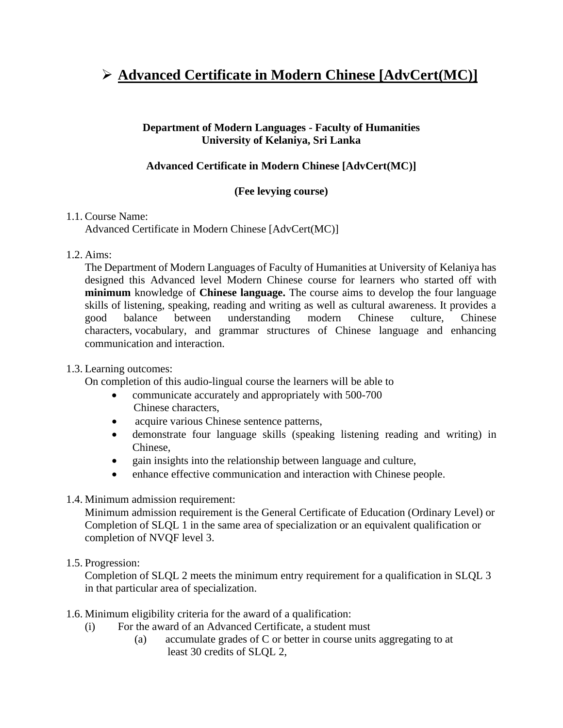# ➢ **Advanced Certificate in Modern Chinese [AdvCert(MC)]**

#### **Department of Modern Languages - Faculty of Humanities University of Kelaniya, Sri Lanka**

## **Advanced Certificate in Modern Chinese [AdvCert(MC)]**

### **(Fee levying course)**

#### 1.1. Course Name:

Advanced Certificate in Modern Chinese [AdvCert(MC)]

#### 1.2. Aims:

The Department of Modern Languages of Faculty of Humanities at University of Kelaniya has designed this Advanced level Modern Chinese course for learners who started off with **minimum** knowledge of **Chinese language.** The course aims to develop the four language skills of listening, speaking, reading and writing as well as cultural awareness. It provides a good balance between understanding modern Chinese culture, Chinese characters, vocabulary, and grammar structures of Chinese language and enhancing communication and interaction.

### 1.3. Learning outcomes:

On completion of this audio-lingual course the learners will be able to

- communicate accurately and appropriately with 500-700 Chinese characters,
- acquire various Chinese sentence patterns,
- demonstrate four language skills (speaking listening reading and writing) in Chinese,
- gain insights into the relationship between language and culture,
- enhance effective communication and interaction with Chinese people.
- 1.4. Minimum admission requirement:

Minimum admission requirement is the General Certificate of Education (Ordinary Level) or Completion of SLQL 1 in the same area of specialization or an equivalent qualification or completion of NVQF level 3.

### 1.5. Progression:

Completion of SLQL 2 meets the minimum entry requirement for a qualification in SLQL 3 in that particular area of specialization.

- 1.6. Minimum eligibility criteria for the award of a qualification:
	- (i) For the award of an Advanced Certificate, a student must
		- (a) accumulate grades of C or better in course units aggregating to at least 30 credits of SLQL 2,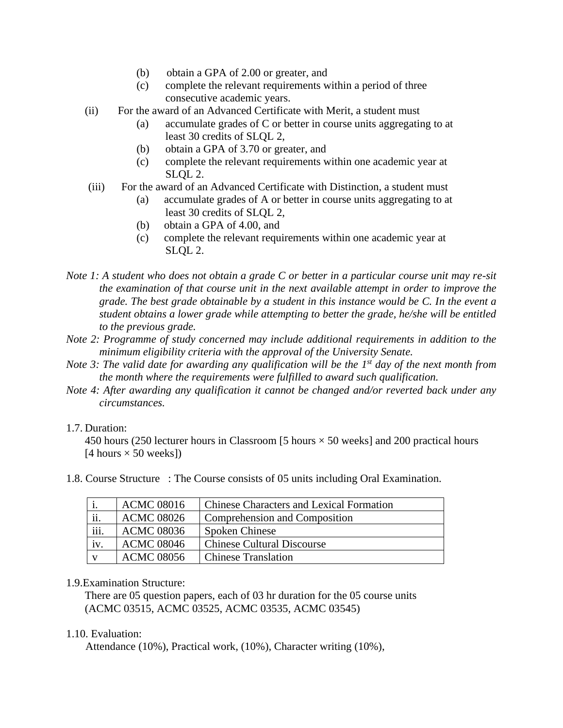- (b) obtain a GPA of 2.00 or greater, and
- (c) complete the relevant requirements within a period of three consecutive academic years.
- (ii) For the award of an Advanced Certificate with Merit, a student must
	- (a) accumulate grades of C or better in course units aggregating to at least 30 credits of SLQL 2,
	- (b) obtain a GPA of 3.70 or greater, and
	- (c) complete the relevant requirements within one academic year at SLQL 2.
- (iii) For the award of an Advanced Certificate with Distinction, a student must
	- (a) accumulate grades of A or better in course units aggregating to at least 30 credits of SLQL 2,
	- (b) obtain a GPA of 4.00, and
	- (c) complete the relevant requirements within one academic year at SLQL 2.

*Note 1: A student who does not obtain a grade C or better in a particular course unit may re-sit the examination of that course unit in the next available attempt in order to improve the grade. The best grade obtainable by a student in this instance would be C. In the event a student obtains a lower grade while attempting to better the grade, he/she will be entitled to the previous grade.*

- *Note 2: Programme of study concerned may include additional requirements in addition to the minimum eligibility criteria with the approval of the University Senate.*
- *Note 3: The valid date for awarding any qualification will be the 1st day of the next month from the month where the requirements were fulfilled to award such qualification.*
- *Note 4: After awarding any qualification it cannot be changed and/or reverted back under any circumstances.*

#### 1.7. Duration:

450 hours (250 lecturer hours in Classroom [5 hours  $\times$  50 weeks] and 200 practical hours [4 hours  $\times$  50 weeks])

|      | <b>ACMC 08016</b> | <b>Chinese Characters and Lexical Formation</b> |
|------|-------------------|-------------------------------------------------|
| ii.  | <b>ACMC 08026</b> | Comprehension and Composition                   |
| iii. | <b>ACMC 08036</b> | <b>Spoken Chinese</b>                           |
| iv.  | <b>ACMC 08046</b> | <b>Chinese Cultural Discourse</b>               |
|      | <b>ACMC 08056</b> | <b>Chinese Translation</b>                      |

1.8. Course Structure : The Course consists of 05 units including Oral Examination.

#### 1.9.Examination Structure:

There are 05 question papers, each of 03 hr duration for the 05 course units (ACMC 03515, ACMC 03525, ACMC 03535, ACMC 03545)

#### 1.10. Evaluation:

Attendance (10%), Practical work, (10%), Character writing (10%),